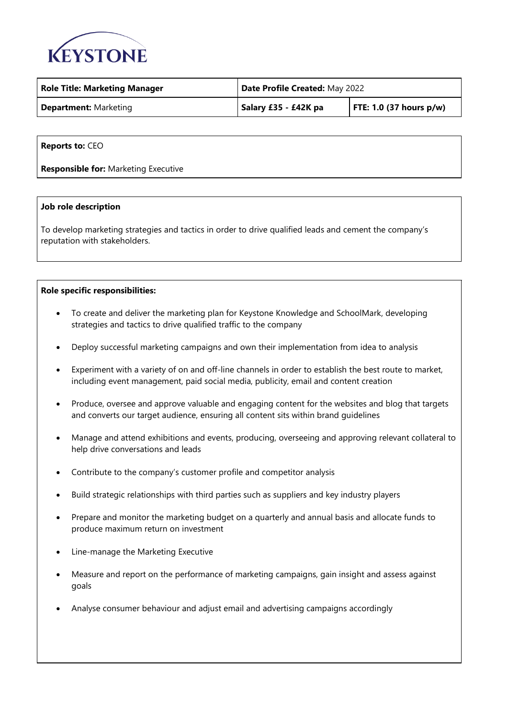

| <b>Role Title: Marketing Manager</b> | Date Profile Created: May 2022 |                            |
|--------------------------------------|--------------------------------|----------------------------|
| <b>Department: Marketing</b>         | Salary £35 - £42K pa           | FTE: 1.0 (37 hours $p/w$ ) |

**Reports to:** CEO

**Responsible for:** Marketing Executive

## **Job role description**

To develop marketing strategies and tactics in order to drive qualified leads and cement the company's reputation with stakeholders.

## **Role specific responsibilities:**

- To create and deliver the marketing plan for Keystone Knowledge and SchoolMark, developing strategies and tactics to drive qualified traffic to the company
- Deploy successful marketing campaigns and own their implementation from idea to analysis
- Experiment with a variety of on and off-line channels in order to establish the best route to market, including event management, paid social media, publicity, email and content creation
- Produce, oversee and approve valuable and engaging content for the websites and blog that targets and converts our target audience, ensuring all content sits within brand guidelines
- Manage and attend exhibitions and events, producing, overseeing and approving relevant collateral to help drive conversations and leads
- Contribute to the company's customer profile and competitor analysis
- Build strategic relationships with third parties such as suppliers and key industry players
- Prepare and monitor the marketing budget on a quarterly and annual basis and allocate funds to produce maximum return on investment
- Line-manage the Marketing Executive
- Measure and report on the performance of marketing campaigns, gain insight and assess against goals
- Analyse consumer behaviour and adjust email and advertising campaigns accordingly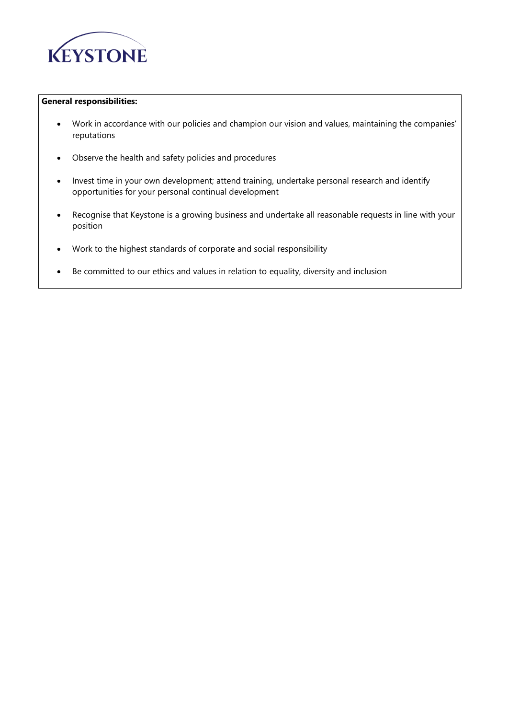

## **General responsibilities:**

- Work in accordance with our policies and champion our vision and values, maintaining the companies' reputations
- Observe the health and safety policies and procedures
- Invest time in your own development; attend training, undertake personal research and identify opportunities for your personal continual development
- Recognise that Keystone is a growing business and undertake all reasonable requests in line with your position
- Work to the highest standards of corporate and social responsibility
- Be committed to our ethics and values in relation to equality, diversity and inclusion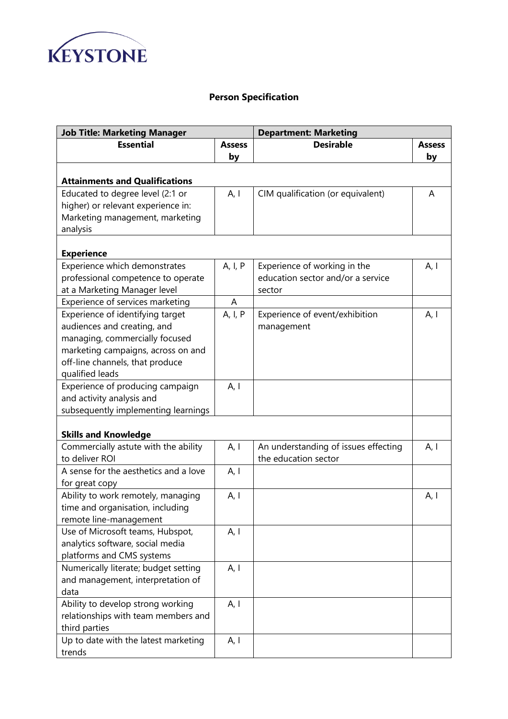

## **Person Specification**

| <b>Job Title: Marketing Manager</b>   |               | <b>Department: Marketing</b>         |               |
|---------------------------------------|---------------|--------------------------------------|---------------|
| <b>Essential</b>                      | <b>Assess</b> | <b>Desirable</b>                     | <b>Assess</b> |
|                                       | by            |                                      | by            |
|                                       |               |                                      |               |
| <b>Attainments and Qualifications</b> |               |                                      |               |
| Educated to degree level (2:1 or      | A, I          | CIM qualification (or equivalent)    | A             |
| higher) or relevant experience in:    |               |                                      |               |
| Marketing management, marketing       |               |                                      |               |
| analysis                              |               |                                      |               |
|                                       |               |                                      |               |
| <b>Experience</b>                     |               |                                      |               |
| Experience which demonstrates         | A, I, P       | Experience of working in the         | A, I          |
| professional competence to operate    |               | education sector and/or a service    |               |
| at a Marketing Manager level          |               | sector                               |               |
| Experience of services marketing      | A             |                                      |               |
| Experience of identifying target      | A, I, P       | Experience of event/exhibition       | A, I          |
| audiences and creating, and           |               | management                           |               |
| managing, commercially focused        |               |                                      |               |
| marketing campaigns, across on and    |               |                                      |               |
| off-line channels, that produce       |               |                                      |               |
| qualified leads                       |               |                                      |               |
| Experience of producing campaign      | A, I          |                                      |               |
| and activity analysis and             |               |                                      |               |
| subsequently implementing learnings   |               |                                      |               |
| <b>Skills and Knowledge</b>           |               |                                      |               |
| Commercially astute with the ability  | A, I          | An understanding of issues effecting | A, I          |
| to deliver ROI                        |               | the education sector                 |               |
| A sense for the aesthetics and a love | A, I          |                                      |               |
| for great copy                        |               |                                      |               |
| Ability to work remotely, managing    | A, I          |                                      | A, I          |
| time and organisation, including      |               |                                      |               |
| remote line-management                |               |                                      |               |
| Use of Microsoft teams, Hubspot,      | A, I          |                                      |               |
| analytics software, social media      |               |                                      |               |
| platforms and CMS systems             |               |                                      |               |
| Numerically literate; budget setting  | A, I          |                                      |               |
| and management, interpretation of     |               |                                      |               |
| data                                  |               |                                      |               |
| Ability to develop strong working     | A, I          |                                      |               |
| relationships with team members and   |               |                                      |               |
| third parties                         |               |                                      |               |
| Up to date with the latest marketing  | A, I          |                                      |               |
| trends                                |               |                                      |               |